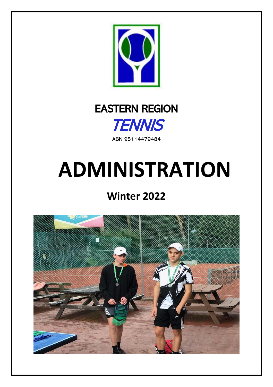

# EASTERN REGION



### ABN 95114479484

# **ADMINISTRATION**

### **Winter 2022**

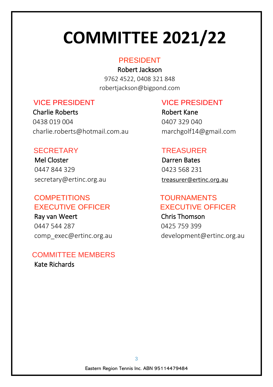# **COMMITTEE 2021/22**

### PRESIDENT

Robert Jackson

9762 4522, 0408 321 848 robertjackson@bigpond.com

### VICE PRESIDENT VICE PRESIDENT

Charlie Roberts **Robert Kane** 0438 019 004 0407 329 040 charlie.roberts@hotmail.com.au marchgolf14@gmail.com

### SECRETARY TREASURER

Mel Closter **Darren Bates** 0447 844 329 0423 568 231 secretary@ertinc.org.au [treasurer@ertinc.org.au](mailto:treasurer@ertinc.org.au)

### COMPETITIONS TOURNAMENTS EXECUTIVE OFFICER EXECUTIVE OFFICER

Ray van Weert Chris Thomson 0447 544 287 0425 759 399

### COMMITTEE MEMBERS Kate Richards

comp\_exec@ertinc.org.au development@ertinc.org.au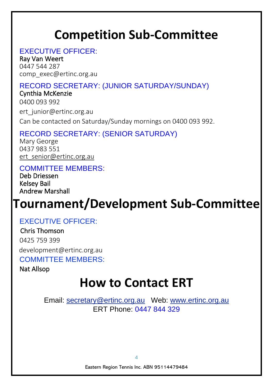## **Competition Sub-Committee**

### EXECUTIVE OFFICER:

Ray Van Weert 0447 544 287 comp\_exec@ertinc.org.au

### RECORD SECRETARY: (JUNIOR SATURDAY/SUNDAY)

Cynthia McKenzie

0400 093 992

ert\_junior@ertinc.org.au

Can be contacted on Saturday/Sunday mornings on 0400 093 992.

### RECORD SECRETARY: (SENIOR SATURDAY)

Mary George 0437 983 551 [ert\\_senior@ertinc.org.au](mailto:ert_senior@ertinc.org.au)

### COMMITTEE MEMBERS:

Deb Driessen Kelsey Bail Andrew Marshall

## **Tournament/Development Sub-Committee**

### EXECUTIVE OFFICER:

 Chris Thomson 0425 759 399 development@ertinc.org.au COMMITTEE MEMBERS:

Nat Allsop

### **How to Contact ERT**

Email: [secretary@ertinc.org.au](mailto:secretary@ertinc.org.au) Web: www.ertinc.org.au ERT Phone: 0447 844 329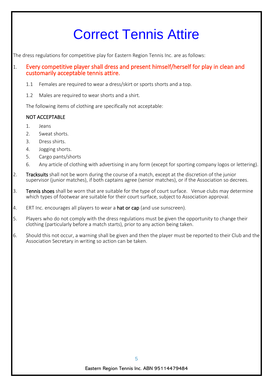## Correct Tennis Attire

The dress regulations for competitive play for Eastern Region Tennis Inc. are as follows:

### 1. Every competitive player shall dress and present himself/herself for play in clean and customarily acceptable tennis attire.

- 1.1 Females are required to wear a dress/skirt or sports shorts and a top.
- 1.2 Males are required to wear shorts and a shirt.

The following items of clothing are specifically not acceptable:

### NOT ACCEPTABLE

- 1. Jeans
- 2. Sweat shorts.
- 3. Dress shirts.
- 4. Jogging shorts.
- 5. Cargo pants/shorts
- 6. Any article of clothing with advertising in any form (except for sporting company logos or lettering).
- 2. Tracksuits shall not be worn during the course of a match, except at the discretion of the junior supervisor (junior matches), if both captains agree (senior matches), or if the Association so decrees.
- 3. Tennis shoes shall be worn that are suitable for the type of court surface. Venue clubs may determine which types of footwear are suitable for their court surface, subject to Association approval.
- 4. ERT Inc. encourages all players to wear a hat or cap (and use sunscreen).
- 5. Players who do not comply with the dress regulations must be given the opportunity to change their clothing (particularly before a match starts), prior to any action being taken.
- 6. Should this not occur, a warning shall be given and then the player must be reported to their Club and the Association Secretary in writing so action can be taken.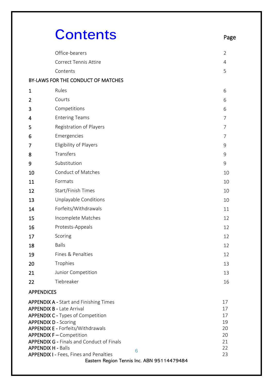|                                                                                                                                                                                                                                                                                                                                                                                    | <b>Contents</b>                            | Page                                               |
|------------------------------------------------------------------------------------------------------------------------------------------------------------------------------------------------------------------------------------------------------------------------------------------------------------------------------------------------------------------------------------|--------------------------------------------|----------------------------------------------------|
|                                                                                                                                                                                                                                                                                                                                                                                    | Office-bearers                             | $\overline{2}$                                     |
|                                                                                                                                                                                                                                                                                                                                                                                    | <b>Correct Tennis Attire</b>               | 4                                                  |
|                                                                                                                                                                                                                                                                                                                                                                                    | Contents                                   | 5                                                  |
|                                                                                                                                                                                                                                                                                                                                                                                    | BY-LAWS FOR THE CONDUCT OF MATCHES         |                                                    |
| 1                                                                                                                                                                                                                                                                                                                                                                                  | Rules                                      | 6                                                  |
| 2                                                                                                                                                                                                                                                                                                                                                                                  | Courts                                     | 6                                                  |
| 3                                                                                                                                                                                                                                                                                                                                                                                  | Competitions                               | 6                                                  |
| 4                                                                                                                                                                                                                                                                                                                                                                                  | <b>Entering Teams</b>                      | 7                                                  |
| 5                                                                                                                                                                                                                                                                                                                                                                                  | Registration of Players                    | $\overline{7}$                                     |
| 6                                                                                                                                                                                                                                                                                                                                                                                  | Emergencies                                | $\overline{7}$                                     |
| 7                                                                                                                                                                                                                                                                                                                                                                                  | Eligibility of Players                     | 9                                                  |
| 8                                                                                                                                                                                                                                                                                                                                                                                  | Transfers                                  | 9                                                  |
| 9                                                                                                                                                                                                                                                                                                                                                                                  | Substitution                               | 9                                                  |
| 10                                                                                                                                                                                                                                                                                                                                                                                 | Conduct of Matches                         | 10                                                 |
| 11                                                                                                                                                                                                                                                                                                                                                                                 | Formats                                    | 10                                                 |
| 12                                                                                                                                                                                                                                                                                                                                                                                 | Start/Finish Times                         | 10                                                 |
| 13                                                                                                                                                                                                                                                                                                                                                                                 | Unplayable Conditions                      | 10                                                 |
| 14                                                                                                                                                                                                                                                                                                                                                                                 | Forfeits/Withdrawals                       | 11                                                 |
| 15                                                                                                                                                                                                                                                                                                                                                                                 | Incomplete Matches                         | 12                                                 |
| 16                                                                                                                                                                                                                                                                                                                                                                                 | Protests-Appeals                           | 12                                                 |
| 17                                                                                                                                                                                                                                                                                                                                                                                 | Scoring                                    | 12                                                 |
| 18                                                                                                                                                                                                                                                                                                                                                                                 | <b>Balls</b>                               | 12                                                 |
| 19                                                                                                                                                                                                                                                                                                                                                                                 | Fines & Penalties                          | 12                                                 |
| 20                                                                                                                                                                                                                                                                                                                                                                                 | Trophies                                   | 13                                                 |
| 21                                                                                                                                                                                                                                                                                                                                                                                 | Junior Competition                         | 13                                                 |
| 22                                                                                                                                                                                                                                                                                                                                                                                 | Tiebreaker                                 | 16                                                 |
| <b>APPENDICES</b>                                                                                                                                                                                                                                                                                                                                                                  |                                            |                                                    |
| <b>APPENDIX A - Start and Finishing Times</b><br><b>APPENDIX B - Late Arrival</b><br><b>APPENDIX C - Types of Competition</b><br><b>APPENDIX D - Scoring</b><br><b>APPENDIX E - Forfeits/Withdrawals</b><br><b>APPENDIX F - Competition</b><br><b>APPENDIX G - Finals and Conduct of Finals</b><br><b>APPENDIX H - Balls</b><br>6<br><b>APPENDIX I - Fees, Fines and Penalties</b> |                                            | 17<br>17<br>17<br>19<br>20<br>20<br>21<br>22<br>23 |
|                                                                                                                                                                                                                                                                                                                                                                                    | Eastern Region Tennis Inc. ABN 95114479484 |                                                    |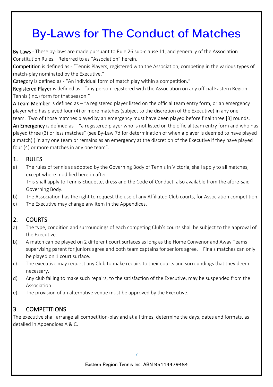### **By-Laws for The Conduct of Matches**

By-Laws - These by-laws are made pursuant to Rule 26 sub-clause 11, and generally of the Association Constitution Rules. Referred to as "Association" herein.

Competition is defined as - "Tennis Players, registered with the Association, competing in the various types of match-play nominated by the Executive."

Category is defined as - "An individual form of match play within a competition."

Registered Player is defined as - "any person registered with the Association on any official Eastern Region Tennis (Inc.) form for that season."

A Team Member is defined as – "a registered player listed on the official team entry form, or an emergency player who has played four (4) or more matches (subject to the discretion of the Executive) in any one team. Two of those matches played by an emergency must have been played before final three [3] rounds. An Emergency is defined as – "a registered player who is not listed on the official team entry form and who has

played three (3) or less matches" (see By-Law 7d for determination of when a player is deemed to have played a match) ) in any one team or remains as an emergency at the discretion of the Executive if they have played four (4) or more matches in any one team".

### 1. RULES

a) The rules of tennis as adopted by the Governing Body of Tennis in Victoria, shall apply to all matches, except where modified here-in after.

This shall apply to Tennis Etiquette, dress and the Code of Conduct, also available from the afore-said Governing Body.

- b) The Association has the right to request the use of any Affiliated Club courts, for Association competition.
- c) The Executive may change any item in the Appendices.

### 2. COURTS

- a) The type, condition and surroundings of each competing Club's courts shall be subject to the approval of the Executive.
- b) A match can be played on 2 different court surfaces as long as the Home Convenor and Away Teams supervising parent for juniors agree and both team captains for seniors agree. Finals matches can only be played on 1 court surface.
- c) The executive may request any Club to make repairs to their courts and surroundings that they deem necessary.
- d) Any club failing to make such repairs, to the satisfaction of the Executive, may be suspended from the Association.
- e) The provision of an alternative venue must be approved by the Executive.

### 3. COMPETITIONS

The executive shall arrange all competition-play and at all times, determine the days, dates and formats, as detailed in Appendices A & C.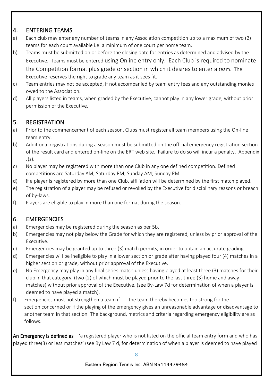### 4. ENTERING TEAMS

- a) Each club may enter any number of teams in any Association competition up to a maximum of two (2) teams for each court available i.e. a minimum of one court per home team.
- b) Teams must be submitted on or before the closing date for entries as determined and advised by the Executive. Teams must be entered using Online entry only. Each Club is required to nominate the Competition format plus grade or section in which it desires to enter a team. The Executive reserves the right to grade any team as it sees fit.
- c) Team entries may not be accepted, if not accompanied by team entry fees and any outstanding monies owed to the Association.
- d) All players listed in teams, when graded by the Executive, cannot play in any lower grade, without prior permission of the Executive.

### 5. REGISTRATION

- a) Prior to the commencement of each season, Clubs must register all team members using the On-line team entry.
- b) Additional registrations during a season must be submitted on the official emergency registration section of the result card and entered on-line on the ERT web site. Failure to do so will incur a penalty. Appendix  $J(s)$ .
- c) No player may be registered with more than one Club in any one defined competition. Defined competitions are Saturday AM; Saturday PM; Sunday AM; Sunday PM.
- d) If a player is registered by more than one Club, affiliation will be determined by the first match played.
- e) The registration of a player may be refused or revoked by the Executive for disciplinary reasons or breach of by-laws.
- f) Players are eligible to play in more than one format during the season.

### 6. EMERGENCIES

- a) Emergencies may be registered during the season as per 5b.
- b) Emergencies may not play below the Grade for which they are registered, unless by prior approval of the Executive.
- c) Emergencies may be granted up to three (3) match permits, in order to obtain an accurate grading.
- d) Emergencies will be ineligible to play in a lower section or grade after having played four (4) matches in a higher section or grade, without prior approval of the Executive.
- e) No Emergency may play in any final series match unless having played at least three (3) matches for their club in that category, (two (2) of which must be played prior to the last three (3) home and away matches) without prior approval of the Executive. (see By-Law 7d for determination of when a player is deemed to have played a match).
- f) Emergencies must not strengthen a team if the team thereby becomes too strong for the section concerned or if the playing of the emergency gives an unreasonable advantage or disadvantage to another team in that section. The background, metrics and criteria regarding emergency eligibility are as follows.

An Emergency is defined as  $-$  'a registered player who is not listed on the official team entry form and who has played three(3) or less matches' (see By Law 7 d, for determination of when a player is deemed to have played

8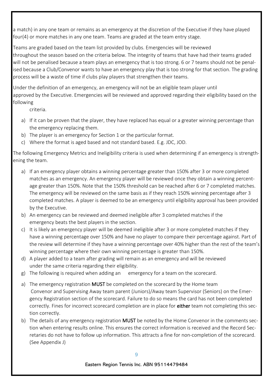a match) in any one team or remains as an emergency at the discretion of the Executive if they have played four(4) or more matches in any one team. Teams are graded at the team entry stage.

Teams are graded based on the team list provided by clubs. Emergencies will be reviewed throughout the season based on the criteria below. The integrity of teams that have had their teams graded will not be penalised because a team plays an emergency that is too strong. 6 or 7 teams should not be penalised because a Club/Convenor wants to have an emergency play that is too strong for that section. The grading process will be a waste of time if clubs play players that strengthen their teams.

Under the definition of an emergency, an emergency will not be an eligible team player until approved by the Executive. Emergencies will be reviewed and approved regarding their eligibility based on the following

criteria.

- a) If it can be proven that the player, they have replaced has equal or a greater winning percentage than the emergency replacing them.
- b) The player is an emergency for Section 1 or the particular format.
- c) Where the format is aged based and not standard based. E.g. JDC, JOD.

The following Emergency Metrics and Ineligibility criteria is used when determining if an emergency is strengthening the team.

- a) If an emergency player obtains a winning percentage greater than 150% after 3 or more completed matches as an emergency. An emergency player will be reviewed once they obtain a winning percentage greater than 150%. Note that the 150% threshold can be reached after 6 or 7 completed matches. The emergency will be reviewed on the same basis as if they reach 150% winning percentage after 3 completed matches. A player is deemed to be an emergency until eligibility approval has been provided by the Executive.
- b) An emergency can be reviewed and deemed ineligible after 3 completed matches if the emergency beats the best players in the section.
- c) It is likely an emergency player will be deemed ineligible after 3 or more completed matches if they have a winning percentage over 150% and have no player to compare their percentage against. Part of the review will determine if they have a winning percentage over 40% higher than the rest of the team's winning percentage where their own winning percentage is greater than 150%.
- d) A player added to a team after grading will remain as an emergency and will be reviewed under the same criteria regarding their eligibility.
- g) The following is required when adding an emergency for a team on the scorecard.
- a) The emergency registration **MUST** be completed on the scorecard by the Home team Convenor and Supervising Away team parent (Juniors)/Away team Supervisor (Seniors) on the Emergency Registration section of the scorecard. Failure to do so means the card has not been completed correctly. Fines for incorrect scorecard completion are in place for **either** team not completing this section correctly.
- b) The details of any emergency registration MUST be noted by the Home Convenor in the comments section when entering results online. This ensures the correct information is received and the Record Secretaries do not have to follow up information. This attracts a fine for non-completion of the scorecard. (See Appendix J)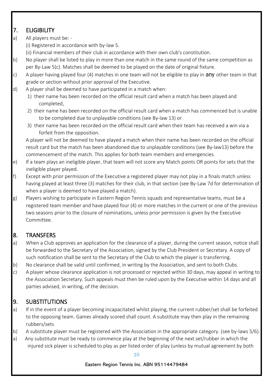### 7. ELIGIBILITY

- a) All players must be:
	- (i) Registered in accordance with by-law 5.
	- (ii) Financial members of their club in accordance with their own club's constitution.
- b) No player shall be listed to play in more than one match in the same round of the same competition as per By-Law 5(c). Matches shall be deemed to be played on the date of original fixture.
- c) A player having played four (4) matches in one team will not be eligible to play in any other team in that grade or section without prior approval of the Executive.
- d) A player shall be deemed to have participated in a match when:
	- 1) their name has been recorded on the official result card when a match has been played and completed,
	- 2) their name has been recorded on the official result card when a match has commenced but is unable to be completed due to unplayable conditions (see By-law 13) or
	- 3) their name has been recorded on the official result card when their team has received a win via a forfeit from the opposition.

A player will not be deemed to have played a match when their name has been recorded on the official result card but the match has been abandoned due to unplayable conditions (see By-law13) before the commencement of the match. This applies for both team members and emergencies.

- e) If a team plays an ineligible player, that team will not score any Match points OR points for sets that the ineligible player played.
- f) Except with prior permission of the Executive a registered player may not play in a finals match unless having played at least three (3) matches for their club, in that section (see By-Law 7d for determination of when a player is deemed to have played a match).
- g) Players wishing to participate in Eastern Region Tennis squads and representative teams, must be a registered team member and have played four (4) or more matches in the current or one of the previous two seasons prior to the closure of nominations, unless prior permission is given by the Executive Committee.

### 8. TRANSFERS

- a) When a Club approves an application for the clearance of a player, during the current season, notice shall be forwarded to the Secretary of the Association, signed by the Club President or Secretary. A copy of such notification shall be sent to the Secretary of the Club to which the player is transferring.
- b) No clearance shall be valid until confirmed, in writing by the Association, and sent to both Clubs.
- c) A player whose clearance application is not processed or rejected within 30 days, may appeal in writing to the Association Secretary. Such appeals must then be ruled upon by the Executive within 14 days and all parties advised, in writing, of the decision.

### 9. SUBSTITUTIONS

- a) If in the event of a player becoming incapacitated whilst playing, the current rubber/set shall be forfeited to the opposing team. Games already scored shall count. A substitute may then play in the remaining rubbers/sets
- b) A substitute player must be registered with the Association in the appropriate category. (see by-laws 5/6).
- a) Any substitute must be ready to commence play at the beginning of the next set/rubber in which the injured sick player is scheduled to play as per listed order of play (unless by mutual agreement by both

10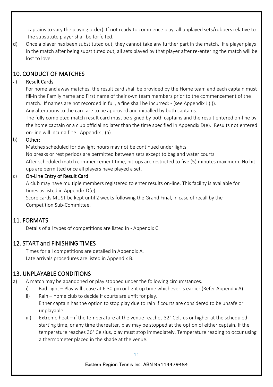captains to vary the playing order). If not ready to commence play, all unplayed sets/rubbers relative to the substitute player shall be forfeited.

d) Once a player has been substituted out, they cannot take any further part in the match. If a player plays in the match after being substituted out, all sets played by that player after re-entering the match will be lost to love.

### 10. CONDUCT OF MATCHES

### a) Result Cards -

For home and away matches, the result card shall be provided by the Home team and each captain must fill-in the Family name and First name of their own team members prior to the commencement of the match. If names are not recorded in full, a fine shall be incurred: - (see Appendix J (i)).

Any alterations to the card are to be approved and initialled by both captains.

The fully completed match result card must be signed by both captains and the result entered on-line by the home captain or a club official no later than the time specified in Appendix D(e). Results not entered on-line will incur a fine. Appendix J (a).

### b) Other: -

Matches scheduled for daylight hours may not be continued under lights.

No breaks or rest periods are permitted between sets except to bag and water courts.

After scheduled match commencement time, hit-ups are restricted to five (5) minutes maximum. No hitups are permitted once all players have played a set.

### c) On-Line Entry of Result Card

A club may have multiple members registered to enter results on-line. This facility is available for times as listed in Appendix D(e).

Score cards MUST be kept until 2 weeks following the Grand Final, in case of recall by the Competition Sub-Committee.

### 11. FORMATS

Details of all types of competitions are listed in - Appendix C.

### 12. START and FINISHING TIMES

Times for all competitions are detailed in Appendix A. Late arrivals procedures are listed in Appendix B.

### 13. UNPLAYABLE CONDITIONS

- a) A match may be abandoned or play stopped under the following circumstances.
	- i) Bad Light Play will cease at 6.30 pm or light up time whichever is earlier (Refer Appendix A).
	- ii) Rain home club to decide if courts are unfit for play.

Either captain has the option to stop play due to rain if courts are considered to be unsafe or unplayable.

iii) Extreme heat – if the temperature at the venue reaches 32° Celsius or higher at the scheduled starting time, or any time thereafter, play may be stopped at the option of either captain. If the temperature reaches 36° Celsius, play must stop immediately. Temperature reading to occur using a thermometer placed in the shade at the venue.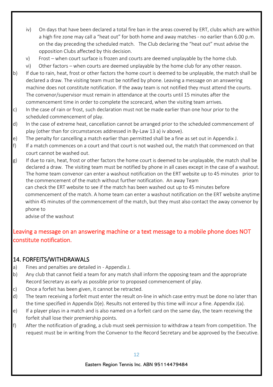- iv) On days that have been declared a total fire ban in the areas covered by ERT, clubs which are within a high fire zone may call a "heat out" for both home and away matches - no earlier than 6.00 p.m. on the day preceding the scheduled match. The Club declaring the "heat out" must advise the opposition Clubs affected by this decision.
- v) Frost when court surface is frozen and courts are deemed unplayable by the home club.
- vi) Other factors when courts are deemed unplayable by the home club for any other reason.
- b) If due to rain, heat, frost or other factors the home court is deemed to be unplayable, the match shall be declared a draw. The visiting team must be notified by phone. Leaving a message on an answering machine does not constitute notification. If the away team is not notified they must attend the courts. The convenor/supervisor must remain in attendance at the courts until 15 minutes after the commencement time in order to complete the scorecard, when the visiting team arrives.
- c) In the case of rain or frost, such declaration must not be made earlier than one hour prior to the scheduled commencement of play.
- d) In the case of extreme heat, cancellation cannot be arranged prior to the scheduled commencement of play (other than for circumstances addressed in By-Law 13 a) iv above).
- e) The penalty for cancelling a match earlier than permitted shall be a fine as set out in Appendix J.
- f) If a match commences on a court and that court is not washed out, the match that commenced on that court cannot be washed out.
- g) If due to rain, heat, frost or other factors the home court is deemed to be unplayable, the match shall be declared a draw. The visiting team must be notified by phone in all cases except in the case of a washout. The home team convenor can enter a washout notification on the ERT website up to 45 minutes prior to the commencement of the match without further notification. An away Team can check the ERT website to see if the match has been washed out up to 45 minutes before commencement of the match. A home team can enter a washout notification on the ERT website anytime within 45 minutes of the commencement of the match, but they must also contact the away convenor by phone to

advise of the washout

### Leaving a message on an answering machine or a text message to a mobile phone does NOT constitute notification.

### 14. FORFEITS/WITHDRAWALS

- a) Fines and penalties are detailed in Appendix J.
- b) Any club that cannot field a team for any match shall inform the opposing team and the appropriate Record Secretary as early as possible prior to proposed commencement of play.
- c) Once a forfeit has been given, it cannot be retracted.
- d) The team receiving a forfeit must enter the result on-line in which case entry must be done no later than the time specified in Appendix D(e). Results not entered by this time will incur a fine. Appendix J(a).
- e) If a player plays in a match and is also named on a forfeit card on the same day, the team receiving the forfeit shall lose their premiership points.
- f) After the notification of grading, a club must seek permission to withdraw a team from competition. The request must be in writing from the Convenor to the Record Secretary and be approved by the Executive.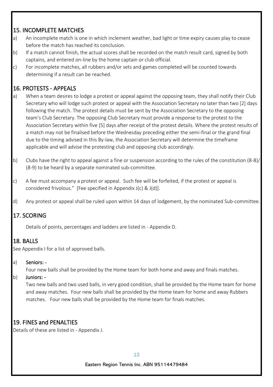### 15. INCOMPLETE MATCHES

- a) An incomplete match is one in which inclement weather, bad light or time expiry causes play to cease before the match has reached its conclusion.
- b) If a match cannot finish, the actual scores shall be recorded on the match result card, signed by both captains, and entered on-line by the home captain or club official.
- c) For incomplete matches, all rubbers and/or sets and games completed will be counted towards determining if a result can be reached.

### 16. PROTESTS - APPEALS

- a) When a team desires to lodge a protest or appeal against the opposing team, they shall notify their Club Secretary who will lodge such protest or appeal with the Association Secretary no later than two [2] days following the match. The protest details must be sent by the Association Secretary to the opposing team's Club Secretary. The opposing Club Secretary must provide a response to the protest to the Association Secretary within five [5] days after receipt of the protest details. Where the protest results of a match may not be finalised before the Wednesday preceding either the semi-final or the grand final due to the timing advised in this By-law, the Association Secretary will determine the timeframe applicable and will advise the protesting club and opposing club accordingly.
- b) Clubs have the right to appeal against a fine or suspension according to the rules of the constitution (8-8)/ (8-9) to be heard by a separate nominated sub-committee.
- c) A fee must accompany a protest or appeal. Such fee will be forfeited, if the protest or appeal is considered frivolous." [Fee specified in Appendix J(c) & J(d)].
- d) Any protest or appeal shall be ruled upon within 14 days of lodgement, by the nominated Sub-committee.

### 17. SCORING

Details of points, percentages and ladders are listed in - Appendix D.

### 18. BALLS

See Appendix I for a list of approved balls.

### a) Seniors: -

Four new balls shall be provided by the Home team for both home and away and finals matches.

b) Juniors: -

Two new balls and two used balls, in very good condition, shall be provided by the Home team for home and away matches. Four new balls shall be provided by the Home team for home and away Rubbers matches. Four new balls shall be provided by the Home team for finals matches.

### 19. FINES and PENALTIES

Details of these are listed in - Appendix J.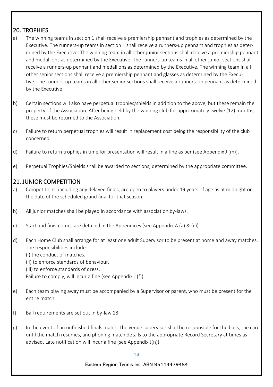### 20. TROPHIES

- a) The winning teams in section 1 shall receive a premiership pennant and trophies as determined by the Executive. The runners-up teams in section 1 shall receive a runners-up pennant and trophies as determined by the Executive. The winning team in all other junior sections shall receive a premiership pennant and medallions as determined by the Executive. The runners-up teams in all other junior sections shall receive a runners-up pennant and medallions as determined by the Executive. The winning team in all other senior sections shall receive a premiership pennant and glasses as determined by the Executive. The runners-up teams in all other senior sections shall receive a runners-up pennant as determined by the Executive.
- b) Certain sections will also have perpetual trophies/shields in addition to the above, but these remain the property of the Association. After being held by the winning club for approximately twelve (12) months, these must be returned to the Association.
- c) Failure to return perpetual trophies will result in replacement cost being the responsibility of the club concerned.
- d) Failure to return trophies in time for presentation will result in a fine as per (see Appendix J (m)).
- e) Perpetual Trophies/Shields shall be awarded to sections, determined by the appropriate committee.

### 21. JUNIOR COMPETITION

- a) Competitions, including any delayed finals, are open to players under 19 years of age as at midnight on the date of the scheduled grand final for that season.
- b) All junior matches shall be played in accordance with association by-laws.
- c) Start and finish times are detailed in the Appendices (see Appendix A (a) & (c)).
- d) Each Home Club shall arrange for at least one adult Supervisor to be present at home and away matches. The responsibilities include: -
	- (i) the conduct of matches.
	- (ii) to enforce standards of behaviour.
	- (iii) to enforce standards of dress.

Failure to comply, will incur a fine (see Appendix J (f)).

- e) Each team playing away must be accompanied by a Supervisor or parent, who must be present for the entire match.
- f) Ball requirements are set out in by-law 18
- g) In the event of an unfinished finals match, the venue supervisor shall be responsible for the balls, the card until the match resumes, and phoning match details to the appropriate Record Secretary at times as advised. Late notification will incur a fine (see Appendix J(n)).

14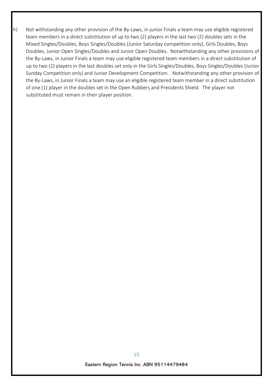h) Not withstanding any other provision of the By-Laws, in junior Finals a team may use eligible registered team members in a direct substitution of up to two (2) players in the last two (2) doubles sets in the Mixed Singles/Doubles, Boys Singles/Doubles (Junior Saturday competition only), Girls Doubles, Boys Doubles, Junior Open Singles/Doubles and Junior Open Doubles. Notwithstanding any other provisions of the By-Laws, in Junior Finals a team may use eligible registered team members in a direct substitution of up to two (2) players in the last doubles set only in the Girls Singles/Doubles, Boys Singles/Doubles (Junior Sunday Competition only) and Junior Development Competition. Notwithstanding any other provision of the By-Laws, in Junior Finals a team may use an eligible registered team member in a direct substitution of one (1) player in the doubles set in the Open Rubbers and Presidents Shield. The player not substituted must remain in their player position.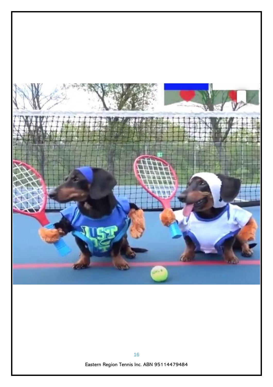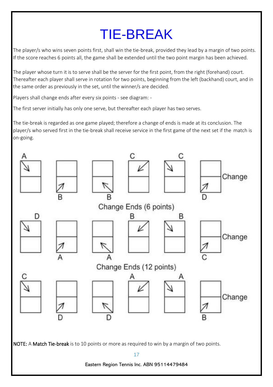## TIE-BREAK

The player/s who wins seven points first, shall win the tie-break, provided they lead by a margin of two points. If the score reaches 6 points all, the game shall be extended until the two point margin has been achieved.

The player whose turn it is to serve shall be the server for the first point, from the right (forehand) court. Thereafter each player shall serve in rotation for two points, beginning from the left (backhand) court, and in the same order as previously in the set, until the winner/s are decided.

Players shall change ends after every six points - see diagram: -

The first server initially has only one serve, but thereafter each player has two serves.

The tie-break is regarded as one game played; therefore a change of ends is made at its conclusion. The player/s who served first in the tie-break shall receive service in the first game of the next set if the match is on-going.

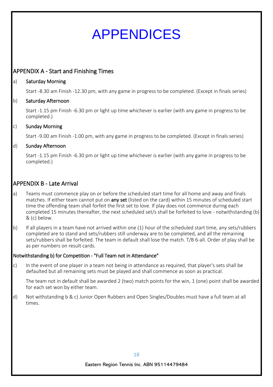## APPENDICES

### APPENDIX A - Start and Finishing Times

### a) Saturday Morning

Start -8.30 am Finish -12.30 pm, with any game in progress to be completed. (Except in finals series)

### b) Saturday Afternoon

Start -1.15 pm Finish -6.30 pm or light up time whichever is earlier (with any game in progress to be completed.)

### c) Sunday Morning

Start -9.00 am Finish -1.00 pm, with any game in progress to be completed. (Except in finals series)

### d) Sunday Afternoon

Start -1.15 pm Finish -6.30 pm or light up time whichever is earlier (with any game in progress to be completed.)

### APPENDIX B - Late Arrival

- a) Teams must commence play on or before the scheduled start time for all home and away and finals matches. If either team cannot put on **any set** (listed on the card) within 15 minutes of scheduled start time the offending team shall forfeit the first set to love. If play does not commence during each completed 15 minutes thereafter, the next scheduled set/s shall be forfeited to love - notwithstanding (b) & (c) below.
- b) If all players in a team have not arrived within one (1) hour of the scheduled start time, any sets/rubbers completed are to stand and sets/rubbers still underway are to be completed, and all the remaining sets/rubbers shall be forfeited. The team in default shall lose the match. T/B 6-all. Order of play shall be as per numbers on result cards.

### Notwithstanding b) for Competition - "Full Team not in Attendance"

c) In the event of one player in a team not being in attendance as required, that player's sets shall be defaulted but all remaining sets must be played and shall commence as soon as practical.

The team not in default shall be awarded 2 (two) match points for the win, 1 (one) point shall be awarded for each set won by either team.

d) Not withstanding b & c) Junior Open Rubbers and Open Singles/Doubles must have a full team at all times.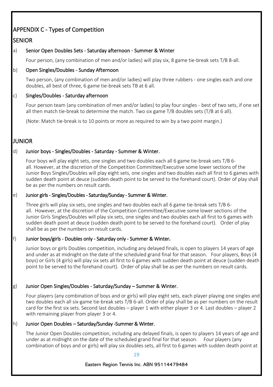### APPENDIX C - Types of Competition

### **SENIOR**

### a) Senior Open Doubles Sets - Saturday afternoon - Summer & Winter

Four person, (any combination of men and/or ladies) will play six, 8 game tie-break sets T/B 8-all.

### b) Open Singles/Doubles - Sunday Afternoon

Two person, (any combination of men and/or ladies) will play three rubbers - one singles each and one doubles, all best of three, 6 game tie-break sets TB at 6 all.

### c) Singles/Doubles - Saturday afternoon

Four person team (any combination of men and/or ladies) to play four singles - best of two sets, if one set all then match tie-break to determine the match. Two six game T/B doubles sets (T/B at 6 all).

(Note: Match tie-break is to 10 points or more as required to win by a two point margin.)

### JUNIOR

### d) Junior boys - Singles/Doubles - Saturday - Summer & Winter.

Four boys will play eight sets, one singles and two doubles each all 6 game tie-break sets T/B 6 all. However, at the discretion of the Competition Committee/Executive some lower sections of the Junior Boys Singles/Doubles will play eight sets, one singles and two doubles each all first to 6 games with sudden death point at deuce (sudden death point to be served to the forehand court). Order of play shall be as per the numbers on result cards.

### e) Junior girls - Singles/Doubles - Saturday/Sunday - Summer & Winter.

Three girls will play six sets, one singles and two doubles each all 6 game tie-break sets T/B 6 all. However, at the discretion of the Competition Committee/Executive some lower sections of the Junior Girls Singles/Doubles will play six sets, one singles and two doubles each all first to 6 games with sudden death point at deuce (sudden death point to be served to the forehand court). Order of play shall be as per the numbers on result cards.

### f) Junior boys/girls - Doubles only - Saturday only - Summer & Winter**.**

Junior boys or girls Doubles competition, including any delayed finals, is open to players 14 years of age and under as at midnight on the date of the scheduled grand final for that season. Four players, Boys (4 boys) or Girls (4 girls) will play six sets all first to 6 games with sudden death point at deuce (sudden death point to be served to the forehand court). Order of play shall be as per the numbers on result cards.

### g) Junior Open Singles/Doubles - Saturday/Sunday – Summer & Winter.

Four players (any combination of boys and or girls) will play eight sets, each player playing one singles and two doubles each all six-game tie-break sets T/B 6-all. Order of play shall be as per numbers on the result card for the first six sets. Second last doubles – player 1 with either player 3 or 4. Last doubles – player 2 with remaining player from player 3 or 4.

### h) Junior Open Doubles – Saturday/Sunday -Summer & Winter.

The Junior Open Doubles competition, including any delayed finals, is open to players 14 years of age and under as at midnight on the date of the scheduled grand final for that season. Four players (any combination of boys and or girls) will play six doubles sets, all first to 6 games with sudden death point at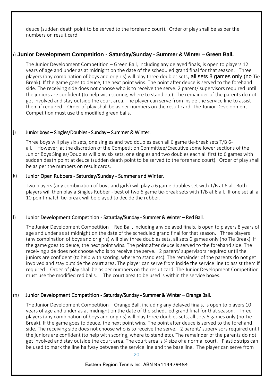deuce (sudden death point to be served to the forehand court). Order of play shall be as per the numbers on result card.

### i) **Junior Development Competition - Saturday/Sunday - Summer & Winter – Green Ball.**

The Junior Development Competition – Green Ball, including any delayed finals, is open to players 12 years of age and under as at midnight on the date of the scheduled grand final for that season. Three players (any combination of boys and or girls) will play three doubles sets, all sets 8 games only (no Tie Break). If the game goes to deuce, the next point wins. The point after deuce is served to the forehand side. The receiving side does not choose who is to receive the serve. 2 parent/ supervisors required until the juniors are confident (to help with scoring, where to stand etc). The remainder of the parents do not get involved and stay outside the court area. The player can serve from inside the service line to assist them if required. Order of play shall be as per numbers on the result card. The Junior Development Competition must use the modified green balls.

### j) Junior boys – Singles/Doubles - Sunday – Summer & Winter.

Three boys will play six sets, one singles and two doubles each all 6 game tie-break sets T/B 6 all. However, at the discretion of the Competition Committee/Executive some lower sections of the Junior Boys Singles/Doubles will play six sets, one singles and two doubles each all first to 6 games with sudden death point at deuce (sudden death point to be served to the forehand court). Order of play shall be as per the numbers on result cards.

### k) Junior Open Rubbers - Saturday/Sunday - Summer and Winter.

Two players (any combination of boys and girls) will play a 6 game doubles set with T/B at 6 all. Both players will then play a Singles Rubber - best of two 6 game tie-break sets with T/B at 6 all. If one set all a 10 point match tie-break will be played to decide the rubber.

### l) Junior Development Competition - Saturday/Sunday - Summer & Winter – Red Ball.

The Junior Development Competition – Red Ball, including any delayed finals, is open to players 8 years of age and under as at midnight on the date of the scheduled grand final for that season. Three players (any combination of boys and or girls) will play three doubles sets, all sets 6 games only (no Tie Break). If the game goes to deuce, the next point wins. The point after deuce is served to the forehand side. The receiving side does not choose who is to receive the serve. 2 parent/ supervisors required until the juniors are confident (to help with scoring, where to stand etc). The remainder of the parents do not get involved and stay outside the court area. The player can serve from inside the service line to assist them if required. Order of play shall be as per numbers on the result card. The Junior Development Competition must use the modified red balls. The court area to be used is within the service boxes.

### m) Junior Development Competition - Saturday/Sunday - Summer & Winter – Orange Ball.

The Junior Development Competition – Orange Ball, including any delayed finals, is open to players 10 years of age and under as at midnight on the date of the scheduled grand final for that season. Three players (any combination of boys and or girls) will play three doubles sets, all sets 6 games only (no Tie Break). If the game goes to deuce, the next point wins. The point after deuce is served to the forehand side. The receiving side does not choose who is to receive the serve. 2 parent/ supervisors required until the juniors are confident (to help with scoring, where to stand etc). The remainder of the parents do not get involved and stay outside the court area. The court area is ¾ size of a normal court. Plastic strips can be used to mark the line halfway between the service line and the base line. The player can serve from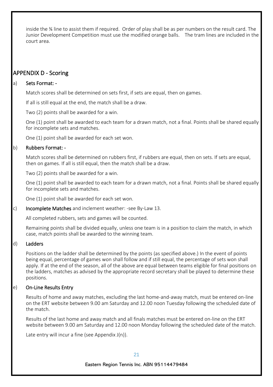inside the ¾ line to assist them if required. Order of play shall be as per numbers on the result card. The Junior Development Competition must use the modified orange balls. The tram lines are included in the court area.

### APPENDIX D - Scoring

### a) Sets Format: -

Match scores shall be determined on sets first, if sets are equal, then on games.

If all is still equal at the end, the match shall be a draw.

Two (2) points shall be awarded for a win.

One (1) point shall be awarded to each team for a drawn match, not a final. Points shall be shared equally for incomplete sets and matches.

One (1) point shall be awarded for each set won.

### b) Rubbers Format: -

Match scores shall be determined on rubbers first, if rubbers are equal, then on sets. If sets are equal, then on games. If all is still equal, then the match shall be a draw.

Two (2) points shall be awarded for a win.

One (1) point shall be awarded to each team for a drawn match, not a final. Points shall be shared equally for incomplete sets and matches.

One (1) point shall be awarded for each set won.

### c) Incomplete Matches and inclement weather: -see By-Law 13.

All completed rubbers, sets and games will be counted.

Remaining points shall be divided equally, unless one team is in a position to claim the match, in which case, match points shall be awarded to the winning team.

### d) Ladders

Positions on the ladder shall be determined by the points (as specified above.) In the event of points being equal, percentage of games won shall follow and if still equal, the percentage of sets won shall apply. If at the end of the season, all of the above are equal between teams eligible for final positions on the ladders, matches as advised by the appropriate record secretary shall be played to determine these positions.

### e) On-Line Results Entry

Results of home and away matches, excluding the last home-and-away match, must be entered on-line on the ERT website between 9.00 am Saturday and 12.00 noon Tuesday following the scheduled date of the match.

Results of the last home and away match and all finals matches must be entered on-line on the ERT website between 9.00 am Saturday and 12.00 noon Monday following the scheduled date of the match.

Late entry will incur a fine (see Appendix J(n)).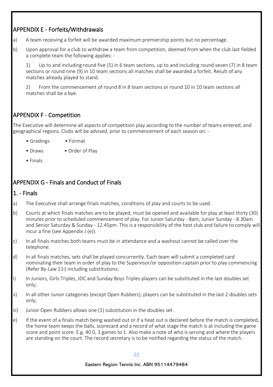### APPENDIX E - Forfeits/Withdrawals

- a) A team receiving a forfeit will be awarded maximum premiership points but no percentage.
- b) Upon approval for a club to withdraw a team from competition, deemed from when the club last fielded a complete team the following applies: -

1) Up to and including round five (5) in 6 team sections, up to and including round seven (7) in 8 team sections or round nine (9) in 10 team sections all matches shall be awarded a forfeit. Result of any matches already played to stand.

2) From the commencement of round 8 in 8 team sections or round 10 in 10 team sections all matches shall be a bye.

### APPENDIX F - Competition

The Executive will determine all aspects of competition play according to the number of teams entered, and geographical regions. Clubs will be advised, prior to commencement of each season on: -

- Gradings Format
- Draws Order of Play
- Finals

### APPENDIX G - Finals and Conduct of Finals

### 1. - Finals

- a) The Executive shall arrange finals matches, conditions of play and courts to be used.
- b) Courts at which finals matches are to be played, must be opened and available for play at least thirty (30) minutes prior to scheduled commencement of play. For Junior Saturday - 8am, Junior Sunday - 8.30am and Senior Saturday & Sunday - 12.45pm. This is a responsibility of the host club and failure to comply will incur a fine (see Appendix J (e)).
- c) In all finals matches both teams must be in attendance and a washout cannot be called over the telephone.
- d) In all finals matches, sets shall be played concurrently. Each team will submit a completed card nominating their team in order of play to the Supervisor/or opposition captain prior to play commencing (Refer By-Law 21i) including substitutions;
- i) In Juniors, Girls Triples, JDC and Sunday Boys Triples players can be substituted in the last doubles set only;
- ii) In all other Junior categories (except Open Rubbers), players can be substituted in the last 2 doubles sets only;
- iii) Junior Open Rubbers allows one (1) substitution in the doubles set.
- e) If the event of a finals match being washed out or if a heat out is declared before the match is completed, the home team keeps the balls, scorecard and a record of what stage the match is at including the game score and point score. E.g. 40 0, 3 games to 1. Also make a note of who is serving and where the players are standing on the court. The record secretary is to be notified regarding the status of the match.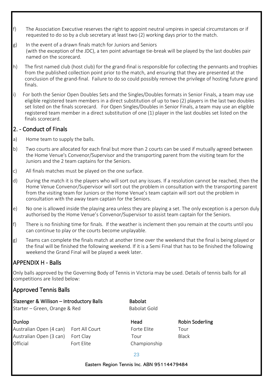- f) The Association Executive reserves the right to appoint neutral umpires in special circumstances or if requested to do so by a club secretary at least two (2) working days prior to the match.
- g) In the event of a drawn finals match for Juniors and Seniors (with the exception of the JDC), a ten point advantage tie-break will be played by the last doubles pair named on the scorecard.
- h) The first named club (host club) for the grand-final is responsible for collecting the pennants and trophies from the published collection point prior to the match, and ensuring that they are presented at the conclusion of the grand-final. Failure to do so could possibly remove the privilege of hosting future grand finals.
- For both the Senior Open Doubles Sets and the Singles/Doubles formats in Senior Finals, a team may use eligible registered team members in a direct substitution of up to two (2) players in the last two doubles set listed on the finals scorecard. For Open Singles/Doubles in Senior Finals, a team may use an eligible registered team member in a direct substitution of one (1) player in the last doubles set listed on the finals scorecard.

### 2. - Conduct of Finals

- a) Home team to supply the balls.
- b) Two courts are allocated for each final but more than 2 courts can be used if mutually agreed between the Home Venue's Convenor/Supervisor and the transporting parent from the visiting team for the Juniors and the 2 team captains for the Seniors.
- c) All finals matches must be played on the one surface.
- d) During the match it is the players who will sort out any issues. If a resolution cannot be reached, then the Home Venue Convenor/Supervisor will sort out the problem in consultation with the transporting parent from the visiting team for Juniors or the Home Venue's team captain will sort out the problem in consultation with the away team captain for the Seniors.
- e) No one is allowed inside the playing area unless they are playing a set. The only exception is a person duly authorised by the Home Venue's Convenor/Supervisor to assist team captain for the Seniors.
- f) There is no finishing time for finals. If the weather is inclement then you remain at the courts until you can continue to play or the courts become unplayable.
- g) Teams can complete the finals match at another time over the weekend that the final is being played or the final will be finished the following weekend. If it is a Semi Final that has to be finished the following weekend the Grand Final will be played a week later.

### APPENDIX H - Balls

Only balls approved by the Governing Body of Tennis in Victoria may be used. Details of tennis balls for all competitions are listed below:

### Approved Tennis Balls

### Slazenger & Willison – Introductory Balls Babolat

Starter – Green, Orange & Red Babolat Gold

Dunlop **Next** Extended Bunlop Robin Soderling Australian Open (4 can) Fort All Court Forte Elite Forte Elite Australian Open (3 can) Fort Clay Tour Black Official **Fort Elite** Championship

23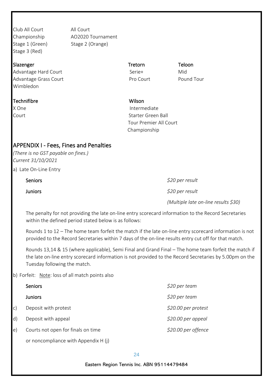Club All Court All Court Stage 3 (Red)

Championship AO2020 Tournament Stage 1 (Green) Stage 2 (Orange)

#### Slazenger Tretorn Tretorn Tretorn Teloon

Advantage Hard Court and Serie+ Serie+ Mid Advantage Grass Court **Pro Court** Pro Court Pound Tour Wimbledon

### Technifibre **Wilson**

X One Intermediate Court Court Court Court Court Court Court Court Court Court Court Court Court Court Court Court Court Court Court Court Court Court Court Court Court Court Court Court Court Court Court Court Court Court Court Court Court Tour Premier All Court Championship

### APPENDIX I - Fees, Fines and Penalties

*(There is no GST payable on fines.) Current 31/10/2021*

a) Late On-Line Entry

Seniors *\$20 per result* Juniors *\$20 per result*

*(Multiple late on-line results \$30)*

The penalty for not providing the late on-line entry scorecard information to the Record Secretaries within the defined period stated below is as follows:

Rounds 1 to 12 – The home team forfeit the match if the late on-line entry scorecard information is not provided to the Record Secretaries within 7 days of the on-line results entry cut off for that match.

Rounds 13,14 & 15 (where applicable), Semi Final and Grand Final – The home team forfeit the match if the late on-line entry scorecard information is not provided to the Record Secretaries by 5.00pm on the Tuesday following the match.

b) Forfeit: Note: loss of all match points also

|    | <b>Seniors</b>                       | \$20 per team        |
|----|--------------------------------------|----------------------|
|    | <b>Juniors</b>                       | \$20 per team        |
| c) | Deposit with protest                 | $$20.00$ per protest |
| d) | Deposit with appeal                  | $$20.00$ per appeal  |
| e) | Courts not open for finals on time   | \$20.00 per offence  |
|    | or noncompliance with Appendix H (j) |                      |